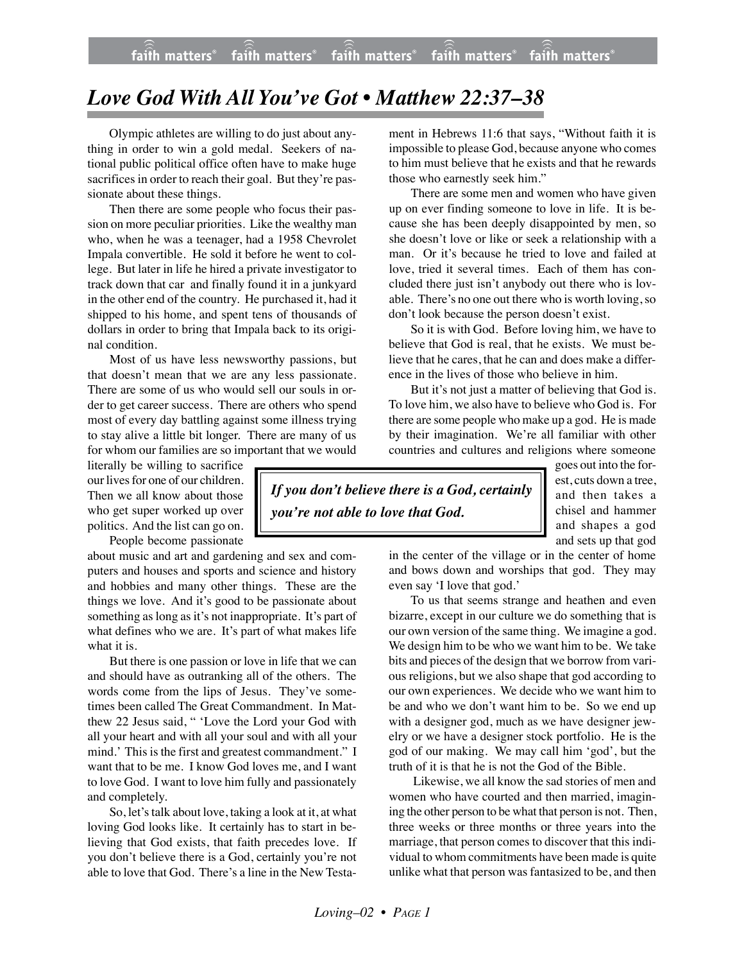## *Love God With All You've Got • Matthew 22:37–38*

Olympic athletes are willing to do just about anything in order to win a gold medal. Seekers of national public political office often have to make huge sacrifices in order to reach their goal. But they're passionate about these things.

Then there are some people who focus their passion on more peculiar priorities. Like the wealthy man who, when he was a teenager, had a 1958 Chevrolet Impala convertible. He sold it before he went to college. But later in life he hired a private investigator to track down that car and finally found it in a junkyard in the other end of the country. He purchased it, had it shipped to his home, and spent tens of thousands of dollars in order to bring that Impala back to its original condition.

Most of us have less newsworthy passions, but that doesn't mean that we are any less passionate. There are some of us who would sell our souls in order to get career success. There are others who spend most of every day battling against some illness trying to stay alive a little bit longer. There are many of us for whom our families are so important that we would

literally be willing to sacrifice our lives for one of our children. Then we all know about those who get super worked up over politics. And the list can go on. People become passionate

about music and art and gardening and sex and computers and houses and sports and science and history and hobbies and many other things. These are the things we love. And it's good to be passionate about something as long as it's not inappropriate. It's part of what defines who we are. It's part of what makes life what it is.

But there is one passion or love in life that we can and should have as outranking all of the others. The words come from the lips of Jesus. They've sometimes been called The Great Commandment. In Matthew 22 Jesus said, " 'Love the Lord your God with all your heart and with all your soul and with all your mind.' This is the first and greatest commandment." I want that to be me. I know God loves me, and I want to love God. I want to love him fully and passionately and completely.

So, let's talk about love, taking a look at it, at what loving God looks like. It certainly has to start in believing that God exists, that faith precedes love. If you don't believe there is a God, certainly you're not able to love that God. There's a line in the New Testa-

ment in Hebrews 11:6 that says, "Without faith it is impossible to please God, because anyone who comes to him must believe that he exists and that he rewards those who earnestly seek him."

There are some men and women who have given up on ever finding someone to love in life. It is because she has been deeply disappointed by men, so she doesn't love or like or seek a relationship with a man. Or it's because he tried to love and failed at love, tried it several times. Each of them has concluded there just isn't anybody out there who is lovable. There's no one out there who is worth loving, so don't look because the person doesn't exist.

So it is with God. Before loving him, we have to believe that God is real, that he exists. We must believe that he cares, that he can and does make a difference in the lives of those who believe in him.

But it's not just a matter of believing that God is. To love him, we also have to believe who God is. For there are some people who make up a god. He is made by their imagination. We're all familiar with other countries and cultures and religions where someone

*If you don't believe there is a God, certainly you're not able to love that God.*

goes out into the forest, cuts down a tree, and then takes a chisel and hammer and shapes a god and sets up that god

in the center of the village or in the center of home and bows down and worships that god. They may even say 'I love that god.'

To us that seems strange and heathen and even bizarre, except in our culture we do something that is our own version of the same thing. We imagine a god. We design him to be who we want him to be. We take bits and pieces of the design that we borrow from various religions, but we also shape that god according to our own experiences. We decide who we want him to be and who we don't want him to be. So we end up with a designer god, much as we have designer jewelry or we have a designer stock portfolio. He is the god of our making. We may call him 'god', but the truth of it is that he is not the God of the Bible.

 Likewise, we all know the sad stories of men and women who have courted and then married, imagining the other person to be what that person is not. Then, three weeks or three months or three years into the marriage, that person comes to discover that this individual to whom commitments have been made is quite unlike what that person was fantasized to be, and then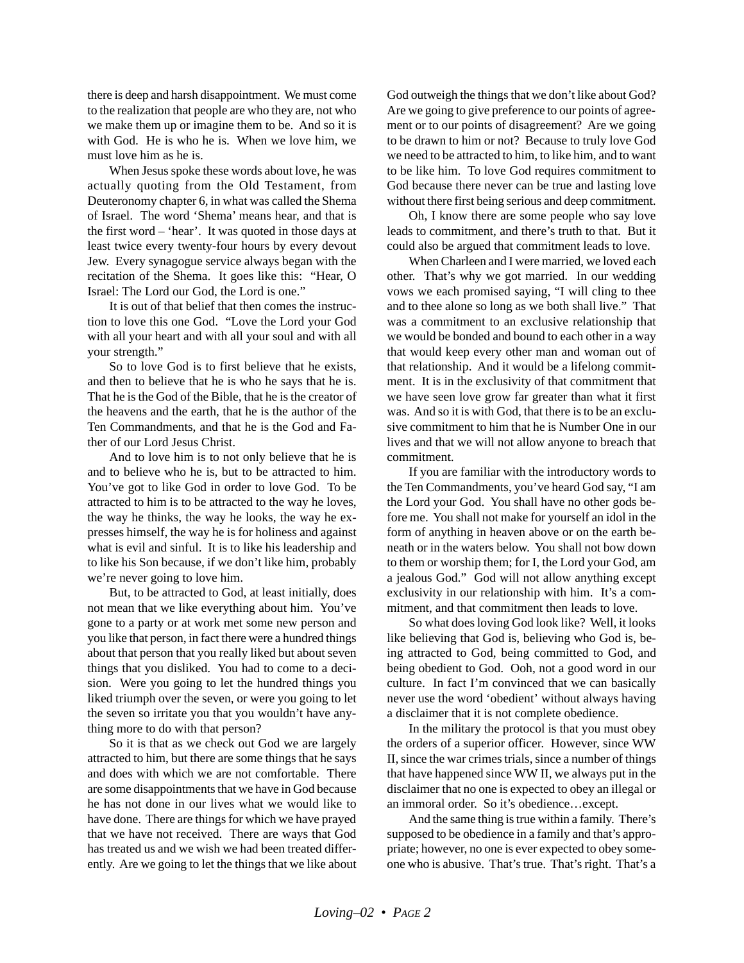there is deep and harsh disappointment. We must come to the realization that people are who they are, not who we make them up or imagine them to be. And so it is with God. He is who he is. When we love him, we must love him as he is.

When Jesus spoke these words about love, he was actually quoting from the Old Testament, from Deuteronomy chapter 6, in what was called the Shema of Israel. The word 'Shema' means hear, and that is the first word – 'hear'. It was quoted in those days at least twice every twenty-four hours by every devout Jew. Every synagogue service always began with the recitation of the Shema. It goes like this: "Hear, O Israel: The Lord our God, the Lord is one."

It is out of that belief that then comes the instruction to love this one God. "Love the Lord your God with all your heart and with all your soul and with all your strength."

So to love God is to first believe that he exists, and then to believe that he is who he says that he is. That he is the God of the Bible, that he is the creator of the heavens and the earth, that he is the author of the Ten Commandments, and that he is the God and Father of our Lord Jesus Christ.

And to love him is to not only believe that he is and to believe who he is, but to be attracted to him. You've got to like God in order to love God. To be attracted to him is to be attracted to the way he loves, the way he thinks, the way he looks, the way he expresses himself, the way he is for holiness and against what is evil and sinful. It is to like his leadership and to like his Son because, if we don't like him, probably we're never going to love him.

But, to be attracted to God, at least initially, does not mean that we like everything about him. You've gone to a party or at work met some new person and you like that person, in fact there were a hundred things about that person that you really liked but about seven things that you disliked. You had to come to a decision. Were you going to let the hundred things you liked triumph over the seven, or were you going to let the seven so irritate you that you wouldn't have anything more to do with that person?

So it is that as we check out God we are largely attracted to him, but there are some things that he says and does with which we are not comfortable. There are some disappointments that we have in God because he has not done in our lives what we would like to have done. There are things for which we have prayed that we have not received. There are ways that God has treated us and we wish we had been treated differently. Are we going to let the things that we like about God outweigh the things that we don't like about God? Are we going to give preference to our points of agreement or to our points of disagreement? Are we going to be drawn to him or not? Because to truly love God we need to be attracted to him, to like him, and to want to be like him. To love God requires commitment to God because there never can be true and lasting love without there first being serious and deep commitment.

Oh, I know there are some people who say love leads to commitment, and there's truth to that. But it could also be argued that commitment leads to love.

When Charleen and I were married, we loved each other. That's why we got married. In our wedding vows we each promised saying, "I will cling to thee and to thee alone so long as we both shall live." That was a commitment to an exclusive relationship that we would be bonded and bound to each other in a way that would keep every other man and woman out of that relationship. And it would be a lifelong commitment. It is in the exclusivity of that commitment that we have seen love grow far greater than what it first was. And so it is with God, that there is to be an exclusive commitment to him that he is Number One in our lives and that we will not allow anyone to breach that commitment.

If you are familiar with the introductory words to the Ten Commandments, you've heard God say, "I am the Lord your God. You shall have no other gods before me. You shall not make for yourself an idol in the form of anything in heaven above or on the earth beneath or in the waters below. You shall not bow down to them or worship them; for I, the Lord your God, am a jealous God." God will not allow anything except exclusivity in our relationship with him. It's a commitment, and that commitment then leads to love.

So what does loving God look like? Well, it looks like believing that God is, believing who God is, being attracted to God, being committed to God, and being obedient to God. Ooh, not a good word in our culture. In fact I'm convinced that we can basically never use the word 'obedient' without always having a disclaimer that it is not complete obedience.

In the military the protocol is that you must obey the orders of a superior officer. However, since WW II, since the war crimes trials, since a number of things that have happened since WW II, we always put in the disclaimer that no one is expected to obey an illegal or an immoral order. So it's obedience…except.

And the same thing is true within a family. There's supposed to be obedience in a family and that's appropriate; however, no one is ever expected to obey someone who is abusive. That's true. That's right. That's a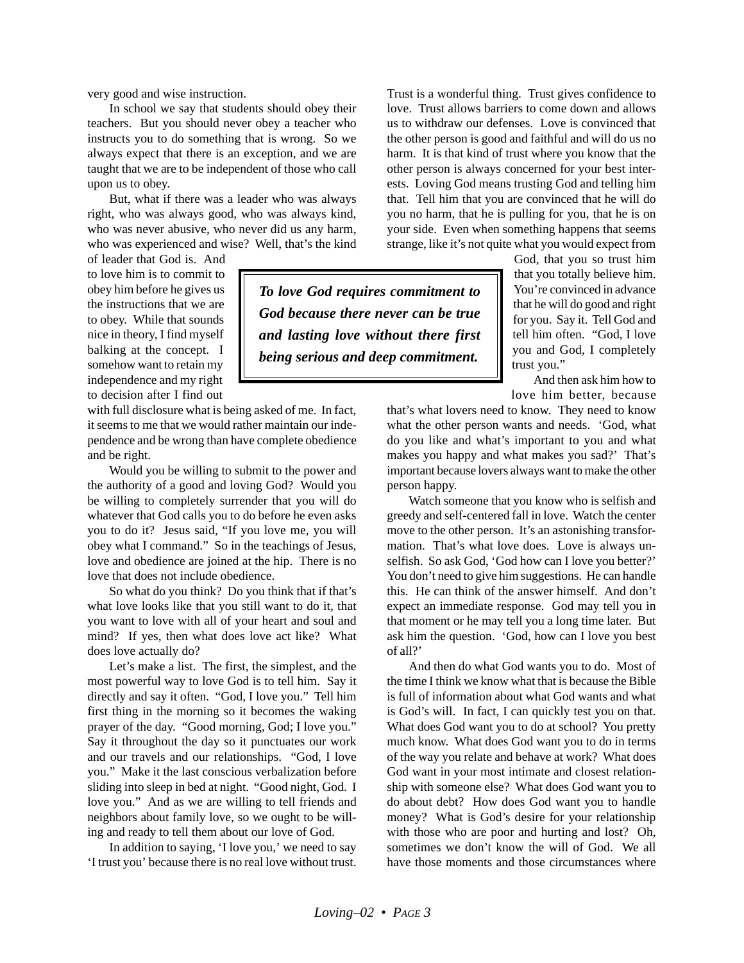very good and wise instruction.

In school we say that students should obey their teachers. But you should never obey a teacher who instructs you to do something that is wrong. So we always expect that there is an exception, and we are taught that we are to be independent of those who call upon us to obey.

But, what if there was a leader who was always right, who was always good, who was always kind, who was never abusive, who never did us any harm, who was experienced and wise? Well, that's the kind

of leader that God is. And to love him is to commit to obey him before he gives us the instructions that we are to obey. While that sounds nice in theory, I find myself balking at the concept. I somehow want to retain my independence and my right to decision after I find out

with full disclosure what is being asked of me. In fact, it seems to me that we would rather maintain our independence and be wrong than have complete obedience and be right.

Would you be willing to submit to the power and the authority of a good and loving God? Would you be willing to completely surrender that you will do whatever that God calls you to do before he even asks you to do it? Jesus said, "If you love me, you will obey what I command." So in the teachings of Jesus, love and obedience are joined at the hip. There is no love that does not include obedience.

So what do you think? Do you think that if that's what love looks like that you still want to do it, that you want to love with all of your heart and soul and mind? If yes, then what does love act like? What does love actually do?

Let's make a list. The first, the simplest, and the most powerful way to love God is to tell him. Say it directly and say it often. "God, I love you." Tell him first thing in the morning so it becomes the waking prayer of the day. "Good morning, God; I love you." Say it throughout the day so it punctuates our work and our travels and our relationships. "God, I love you." Make it the last conscious verbalization before sliding into sleep in bed at night. "Good night, God. I love you." And as we are willing to tell friends and neighbors about family love, so we ought to be willing and ready to tell them about our love of God.

In addition to saying, 'I love you,' we need to say 'I trust you' because there is no real love without trust. Trust is a wonderful thing. Trust gives confidence to love. Trust allows barriers to come down and allows us to withdraw our defenses. Love is convinced that the other person is good and faithful and will do us no harm. It is that kind of trust where you know that the other person is always concerned for your best interests. Loving God means trusting God and telling him that. Tell him that you are convinced that he will do you no harm, that he is pulling for you, that he is on your side. Even when something happens that seems strange, like it's not quite what you would expect from

*To love God requires commitment to God because there never can be true and lasting love without there first being serious and deep commitment.*

God, that you so trust him that you totally believe him. You're convinced in advance that he will do good and right for you. Say it. Tell God and tell him often. "God, I love you and God, I completely trust you."

And then ask him how to love him better, because

that's what lovers need to know. They need to know what the other person wants and needs. 'God, what do you like and what's important to you and what makes you happy and what makes you sad?' That's important because lovers always want to make the other person happy.

Watch someone that you know who is selfish and greedy and self-centered fall in love. Watch the center move to the other person. It's an astonishing transformation. That's what love does. Love is always unselfish. So ask God, 'God how can I love you better?' You don't need to give him suggestions. He can handle this. He can think of the answer himself. And don't expect an immediate response. God may tell you in that moment or he may tell you a long time later. But ask him the question. 'God, how can I love you best of all?'

And then do what God wants you to do. Most of the time I think we know what that is because the Bible is full of information about what God wants and what is God's will. In fact, I can quickly test you on that. What does God want you to do at school? You pretty much know. What does God want you to do in terms of the way you relate and behave at work? What does God want in your most intimate and closest relationship with someone else? What does God want you to do about debt? How does God want you to handle money? What is God's desire for your relationship with those who are poor and hurting and lost? Oh, sometimes we don't know the will of God. We all have those moments and those circumstances where